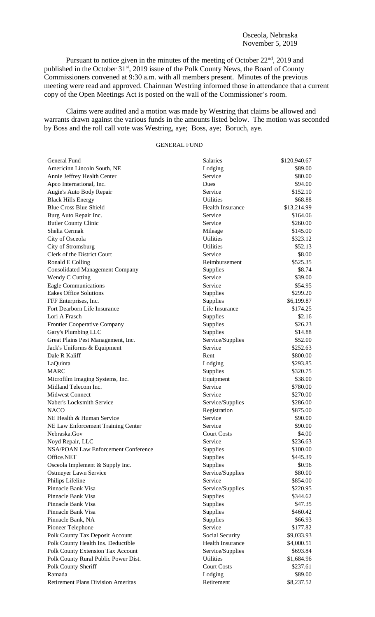Pursuant to notice given in the minutes of the meeting of October 22<sup>nd</sup>, 2019 and published in the October 31<sup>st</sup>, 2019 issue of the Polk County News, the Board of County Commissioners convened at 9:30 a.m. with all members present. Minutes of the previous meeting were read and approved. Chairman Westring informed those in attendance that a current copy of the Open Meetings Act is posted on the wall of the Commissioner's room.

Claims were audited and a motion was made by Westring that claims be allowed and warrants drawn against the various funds in the amounts listed below. The motion was seconded by Boss and the roll call vote was Westring, aye; Boss, aye; Boruch, aye.

# GENERAL FUND

| General Fund                              | <b>Salaries</b>         | \$120,940.67 |
|-------------------------------------------|-------------------------|--------------|
| Americinn Lincoln South, NE               | Lodging                 | \$89.00      |
| Annie Jeffrey Health Center               | Service                 | \$80.00      |
| Apco International, Inc.                  | Dues                    | \$94.00      |
| Augie's Auto Body Repair                  | Service                 | \$152.10     |
| <b>Black Hills Energy</b>                 | <b>Utilities</b>        | \$68.88      |
| <b>Blue Cross Blue Shield</b>             | <b>Health Insurance</b> | \$13,214.99  |
| Burg Auto Repair Inc.                     | Service                 | \$164.06     |
| <b>Butler County Clinic</b>               | Service                 | \$260.00     |
| Shelia Cermak                             | Mileage                 | \$145.00     |
| City of Osceola                           | Utilities               | \$323.12     |
| City of Stromsburg                        | Utilities               | \$52.13      |
| Clerk of the District Court               | Service                 | \$8.00       |
| Ronald E Colling                          | Reimbursement           | \$525.35     |
| <b>Consolidated Management Company</b>    | Supplies                | \$8.74       |
| Wendy C Cutting                           | Service                 | \$39.00      |
| <b>Eagle Communications</b>               | Service                 | \$54.95      |
| <b>Eakes Office Solutions</b>             | Supplies                | \$299.20     |
| FFF Enterprises, Inc.                     | Supplies                | \$6,199.87   |
| Fort Dearborn Life Insurance              | Life Insurance          | \$174.25     |
| Lori A Frasch                             | Supplies                | \$2.16       |
| Frontier Cooperative Company              | Supplies                | \$26.23      |
| Gary's Plumbing LLC                       | Supplies                | \$14.88      |
| Great Plains Pest Management, Inc.        | Service/Supplies        | \$52.00      |
| Jack's Uniforms & Equipment               | Service                 | \$252.63     |
| Dale R Kaliff                             | Rent                    | \$800.00     |
| LaQuinta                                  | Lodging                 | \$293.85     |
| <b>MARC</b>                               | Supplies                | \$320.75     |
| Microfilm Imaging Systems, Inc.           | Equipment               | \$38.00      |
| Midland Telecom Inc.                      | Service                 | \$780.00     |
| <b>Midwest Connect</b>                    | Service                 | \$270.00     |
| Naber's Locksmith Service                 | Service/Supplies        | \$286.00     |
| <b>NACO</b>                               | Registration            | \$875.00     |
| NE Health & Human Service                 | Service                 | \$90.00      |
| NE Law Enforcement Training Center        | Service                 | \$90.00      |
| Nebraska.Gov                              | <b>Court Costs</b>      | \$4.00       |
|                                           |                         | \$236.63     |
| Noyd Repair, LLC                          | Service                 |              |
| NSA/POAN Law Enforcement Conference       | Supplies                | \$100.00     |
| Office.NET                                | Supplies                | \$445.39     |
| Osceola Implement & Supply Inc.           | Supplies                | \$0.96       |
| Ostmeyer Lawn Service                     | Service/Supplies        | \$80.00      |
| Philips Lifeline                          | Service                 | \$854.00     |
| Pinnacle Bank Visa                        | Service/Supplies        | \$220.95     |
| Pinnacle Bank Visa                        | Supplies                | \$344.62     |
| Pinnacle Bank Visa                        | Supplies                | \$47.35      |
| Pinnacle Bank Visa                        | Supplies                | \$460.42     |
| Pinnacle Bank, NA                         | Supplies                | \$66.93      |
| Pioneer Telephone                         | Service                 | \$177.82     |
| Polk County Tax Deposit Account           | Social Security         | \$9,033.93   |
| Polk County Health Ins. Deductible        | <b>Health Insurance</b> | \$4,000.51   |
| Polk County Extension Tax Account         | Service/Supplies        | \$693.84     |
| Polk County Rural Public Power Dist.      | Utilities               | \$1,684.96   |
| Polk County Sheriff                       | <b>Court Costs</b>      | \$237.61     |
| Ramada                                    | Lodging                 | \$89.00      |
| <b>Retirement Plans Division Ameritas</b> | Retirement              | \$8,237.52   |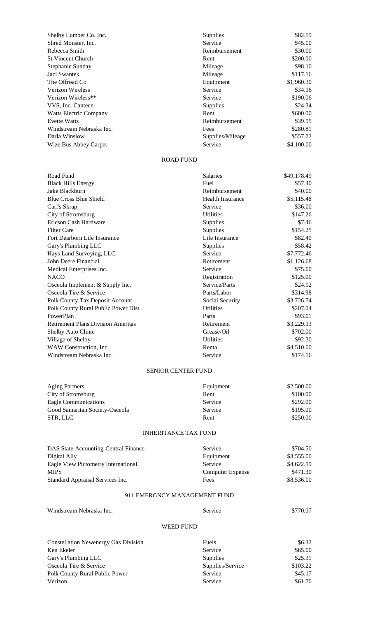| Shelby Lumber Co. Inc.        | Supplies         | \$82.59    |
|-------------------------------|------------------|------------|
| Shred Monster, Inc.           | Service          | \$45.00    |
| Rebecca Smith                 | Reimbursement    | \$30.00    |
| <b>St Vincent Church</b>      | Rent             | \$200.00   |
| Stephanie Sunday              | Mileage          | \$98.10    |
| Jaci Swantek                  | Mileage          | \$117.16   |
| The Offroad Co                | Equipment        | \$1,960.30 |
| <b>Verizon Wireless</b>       | Service          | \$34.16    |
| Verizon Wireless**            | Service          | \$190.06   |
| VVS, Inc. Canteen             | <b>Supplies</b>  | \$24.34    |
| <b>Watts Electric Company</b> | Rent             | \$600.00   |
| <b>Evette Watts</b>           | Reimbursement    | \$39.95    |
| Windstream Nebraska Inc.      | Fees             | \$280.81   |
| Darla Winslow                 | Supplies/Mileage | \$557.72   |
| Wize Bus Abbey Carpet         | Service          | \$4,100.00 |

### ROAD FUND

| Road Fund                                 | <b>Salaries</b>         | \$49,178.49 |
|-------------------------------------------|-------------------------|-------------|
| <b>Black Hills Energy</b>                 | Fuel                    | \$57.40     |
| Jake Blackburn                            | Reimbursement           | \$40.00     |
| <b>Blue Cross Blue Shield</b>             | <b>Health Insurance</b> | \$5,115.48  |
| Carl's Skrap                              | Service                 | \$36.00     |
| City of Stromsburg                        | <b>Utilities</b>        | \$147.26    |
| Ericson Cash Hardware                     | Supplies                | \$7.46      |
| <b>Filter Care</b>                        | Supplies                | \$154.25    |
| Fort Dearborn Life Insurance              | Life Insurance          | \$82.40     |
| Gary's Plumbing LLC                       | Supplies                | \$58.42     |
| Hays Land Surveying, LLC                  | Service                 | \$7,772.46  |
| John Deere Financial                      | Retirement              | \$1,126.68  |
| Medical Enterprises Inc.                  | Service                 | \$75.00     |
| <b>NACO</b>                               | Registration            | \$125.00    |
| Osceola Implement & Supply Inc.           | Service/Parts           | \$24.92     |
| Osceola Tire & Service                    | Parts/Labor             | \$314.98    |
| Polk County Tax Deposit Account           | Social Security         | \$3,726.74  |
| Polk County Rural Public Power Dist.      | <b>Utilities</b>        | \$207.04    |
| PowerPlan                                 | Parts                   | \$93.01     |
| <b>Retirement Plans Division Ameritas</b> | Retirement              | \$3,229.13  |
| Shelby Auto Clinic                        | Grease/Oil              | \$702.00    |
| Village of Shelby                         | <b>Utilities</b>        | \$92.30     |
| WAW Construction, Inc.                    | Rental                  | \$4,510.00  |
| Windstream Nebraska Inc.                  | Service                 | \$174.16    |

### SENIOR CENTER FUND

| <b>Aging Partners</b>          | Equipment | \$2,500.00 |
|--------------------------------|-----------|------------|
| City of Stromsburg             | Rent      | \$100.00   |
| Eagle Communications           | Service   | \$292.00   |
| Good Samaritan Society-Osceola | Service   | \$195.00   |
| STR, LLC                       | Rent      | \$250.00   |

#### INHERITANCE TAX FUND

| DAS State Accounting-Central Finance | <b>Service</b>          | \$704.50   |
|--------------------------------------|-------------------------|------------|
| Digital Ally                         | Equipment               | \$3,555.00 |
| Eagle View Pictometry International  | Service                 | \$4,622.19 |
| <b>MIPS</b>                          | <b>Computer Expense</b> | \$471.30   |
| Standard Appraisal Services Inc.     | Fees                    | \$8,536.00 |

# 911 EMERGNCY MANAGEMENT FUND

| Windstream Nebraska Inc. | Service | \$770.07 |
|--------------------------|---------|----------|
|                          |         |          |

#### WEED FUND

| <b>Constellation Newenergy Gas Division</b> | Fuels            | \$6.32   |
|---------------------------------------------|------------------|----------|
| Ken Ekeler                                  | Service          | \$65.00  |
| Gary's Plumbing LLC                         | Supplies         | \$25.31  |
| Osceola Tire & Service                      | Supplies/Service | \$103.22 |
| Polk County Rural Public Power              | Service          | \$45.17  |
| Verizon                                     | Service          | \$61.70  |